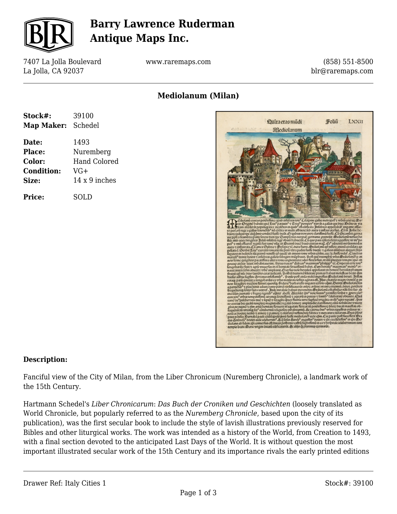

### **Barry Lawrence Ruderman Antique Maps Inc.**

7407 La Jolla Boulevard La Jolla, CA 92037

www.raremaps.com

(858) 551-8500 blr@raremaps.com

### **Mediolanum (Milan)**

| Stock#:           | 39100               |
|-------------------|---------------------|
| <b>Map Maker:</b> | Schedel             |
| Date:             | 1493                |
| <b>Place:</b>     | Nuremberg           |
| Color:            | <b>Hand Colored</b> |
| <b>Condition:</b> | VG+                 |
| Size:             | 14 x 9 inches       |
| Price:            | SOLD                |



#### **Description:**

Fanciful view of the City of Milan, from the Liber Chronicum (Nuremberg Chronicle), a landmark work of the 15th Century.

Hartmann Schedel's *Liber Chronicarum*: *Das Buch der Croniken und Geschichten* (loosely translated as World Chronicle, but popularly referred to as the *Nuremberg Chronicle*, based upon the city of its publication), was the first secular book to include the style of lavish illustrations previously reserved for Bibles and other liturgical works. The work was intended as a history of the World, from Creation to 1493, with a final section devoted to the anticipated Last Days of the World. It is without question the most important illustrated secular work of the 15th Century and its importance rivals the early printed editions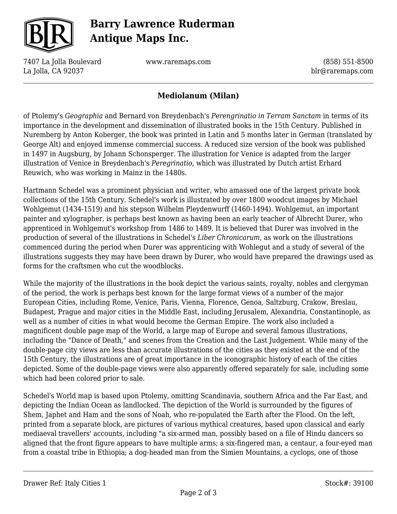

# **Barry Lawrence Ruderman Antique Maps Inc.**

7407 La Jolla Boulevard La Jolla, CA 92037

www.raremaps.com

(858) 551-8500 blr@raremaps.com

#### **Mediolanum (Milan)**

of Ptolemy's *Geographia* and Bernard von Breydenbach's *Perengrinatio in Terram Sanctam* in terms of its importance in the development and dissemination of illustrated books in the 15th Century. Published in Nuremberg by Anton Koberger, the book was printed in Latin and 5 months later in German (translated by George Alt) and enjoyed immense commercial success. A reduced size version of the book was published in 1497 in Augsburg, by Johann Schonsperger. The illustration for Venice is adapted from the larger illustration of Venice in Breydenbach's *Peregrinatio,* which was illustrated by Dutch artist Erhard Reuwich, who was working in Mainz in the 1480s.

Hartmann Schedel was a prominent physician and writer, who amassed one of the largest private book collections of the 15th Century. Schedel's work is illustrated by over 1800 woodcut images by Michael Wohlgemut (1434-1519) and his stepson Wilhelm Pleydenwurff (1460-1494). Wohlgemut, an important painter and xylographer, is perhaps best known as having been an early teacher of Albrecht Durer, who apprenticed in Wohlgemut's workshop from 1486 to 1489. It is believed that Durer was involved in the production of several of the illustrations in Schedel's *Liber Chronicarum,* as work on the illustrations commenced during the period when Durer was apprenticing with Wohlegut and a study of several of the illustrations suggests they may have been drawn by Durer, who would have prepared the drawings used as forms for the craftsmen who cut the woodblocks.

While the majority of the illustrations in the book depict the various saints, royalty, nobles and clergyman of the period, the work is perhaps best known for the large format views of a number of the major European Cities, including Rome, Venice, Paris, Vienna, Florence, Genoa, Saltzburg, Crakow, Breslau, Budapest, Prague and major cities in the Middle East, including Jerusalem, Alexandria, Constantinople, as well as a number of cities in what would become the German Empire. The work also included a magnificent double page map of the World, a large map of Europe and several famous illustrations, including the "Dance of Death," and scenes from the Creation and the Last Judgement. While many of the double-page city views are less than accurate illustrations of the cities as they existed at the end of the 15th Century, the illustrations are of great importance in the iconographic history of each of the cities depicted. Some of the double-page views were also apparently offered separately for sale, including some which had been colored prior to sale.

Schedel's World map is based upon Ptolemy, omitting Scandinavia, southern Africa and the Far East, and depicting the Indian Ocean as landlocked. The depiction of the World is surrounded by the figures of Shem, Japhet and Ham and the sons of Noah, who re-populated the Earth after the Flood. On the left, printed from a separate block, are pictures of various mythical creatures, based upon classical and early mediaeval travellers' accounts, including "a six-armed man, possibly based on a file of Hindu dancers so aligned that the front figure appears to have multiple arms; a six-fingered man, a centaur, a four-eyed man from a coastal tribe in Ethiopia; a dog-headed man from the Simien Mountains, a cyclops, one of those